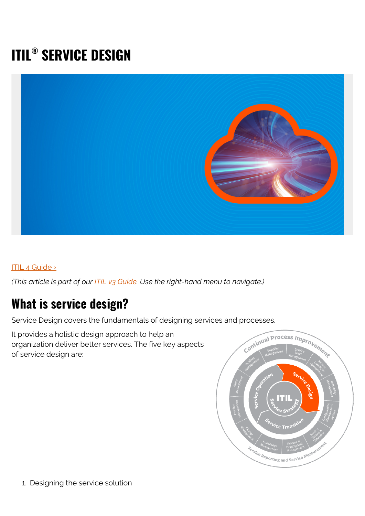# **ITIL® SERVICE DESIGN**



#### [ITIL 4 Guide ›](https://www.bmc.com/blogs/itil-4/)

*(This article is part of our [ITIL v3 Guide](https://blogs.bmc.com/blogs/itil-v3-introduction/). Use the right-hand menu to navigate.)*

#### **What is service design?**

Service Design covers the fundamentals of designing services and processes.

It provides a holistic design approach to help an organization deliver better services. The five key aspects of service design are:

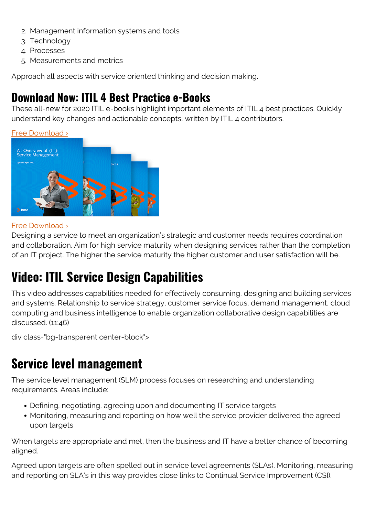- 2. Management information systems and tools
- 3. Technology
- 4. Processes
- 5. Measurements and metrics

Approach all aspects with service oriented thinking and decision making.

#### **Download Now: ITIL 4 Best Practice e-Books**

These all-new for 2020 ITIL e-books highlight important elements of ITIL 4 best practices. Quickly understand key changes and actionable concepts, written by ITIL 4 contributors.

[Free Download ›](https://www.bmc.com/forms/itil-free-ebook.html)



#### [Free Download ›](https://www.bmc.com/forms/itil-free-ebook.html)

Designing a service to meet an organization's strategic and customer needs requires coordination and collaboration. Aim for high service maturity when designing services rather than the completion of an IT project. The higher the service maturity the higher customer and user satisfaction will be.

## **Video: ITIL Service Design Capabilities**

This video addresses capabilities needed for effectively consuming, designing and building services and systems. Relationship to service strategy, customer service focus, demand management, cloud computing and business intelligence to enable organization collaborative design capabilities are discussed. (11:46)

div class="bg-transparent center-block">

### **Service level management**

The service level management (SLM) process focuses on researching and understanding requirements. Areas include:

- Defining, negotiating, agreeing upon and documenting IT service targets
- Monitoring, measuring and reporting on how well the service provider delivered the agreed upon targets

When targets are appropriate and met, then the business and IT have a better chance of becoming aligned.

Agreed upon targets are often spelled out in service level agreements (SLAs). Monitoring, measuring and reporting on SLA's in this way provides close links to Continual Service Improvement (CSI).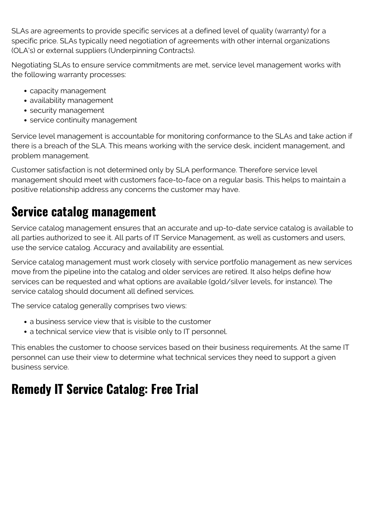SLAs are agreements to provide specific services at a defined level of quality (warranty) for a specific price. SLAs typically need negotiation of agreements with other internal organizations (OLA's) or external suppliers (Underpinning Contracts).

Negotiating SLAs to ensure service commitments are met, service level management works with the following warranty processes:

- capacity management
- availability management
- security management
- service continuity management

Service level management is accountable for monitoring conformance to the SLAs and take action if there is a breach of the SLA. This means working with the service desk, incident management, and problem management.

Customer satisfaction is not determined only by SLA performance. Therefore service level management should meet with customers face-to-face on a regular basis. This helps to maintain a positive relationship address any concerns the customer may have.

### **Service catalog management**

Service catalog management ensures that an accurate and up-to-date service catalog is available to all parties authorized to see it. All parts of IT Service Management, as well as customers and users, use the service catalog. Accuracy and availability are essential.

Service catalog management must work closely with service portfolio management as new services move from the pipeline into the catalog and older services are retired. It also helps define how services can be requested and what options are available (gold/silver levels, for instance). The service catalog should document all defined services.

The service catalog generally comprises two views:

- a business service view that is visible to the customer
- a technical service view that is visible only to IT personnel.

This enables the customer to choose services based on their business requirements. At the same IT personnel can use their view to determine what technical services they need to support a given business service.

## **Remedy IT Service Catalog: Free Trial**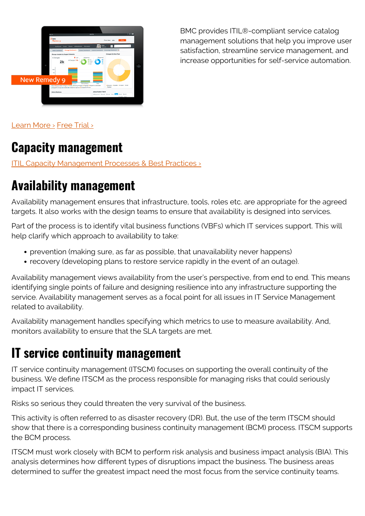

BMC provides ITIL®-compliant service catalog management solutions that help you improve user satisfaction, streamline service management, and increase opportunities for self-service automation.

[Learn More ›](https://blogs.bmc.com/it-solutions/it-service-catalog.html) [Free Trial ›](https://blogs.bmc.com/forms/bmc-helix-itsm-trial.html)

#### **Capacity management**

ITIL Capacity Management Processes & Best Practices >

## **Availability management**

Availability management ensures that infrastructure, tools, roles etc. are appropriate for the agreed targets. It also works with the design teams to ensure that availability is designed into services.

Part of the process is to identify vital business functions (VBFs) which IT services support. This will help clarify which approach to availability to take:

- prevention (making sure, as far as possible, that unavailability never happens)
- recovery (developing plans to restore service rapidly in the event of an outage).

Availability management views availability from the user's perspective, from end to end. This means identifying single points of failure and designing resilience into any infrastructure supporting the service. Availability management serves as a focal point for all issues in IT Service Management related to availability.

Availability management handles specifying which metrics to use to measure availability. And, monitors availability to ensure that the SLA targets are met.

#### **IT service continuity management**

IT service continuity management (ITSCM) focuses on supporting the overall continuity of the business. We define ITSCM as the process responsible for managing risks that could seriously impact IT services.

Risks so serious they could threaten the very survival of the business.

This activity is often referred to as disaster recovery (DR). But, the use of the term ITSCM should show that there is a corresponding business continuity management (BCM) process. ITSCM supports the BCM process.

ITSCM must work closely with BCM to perform risk analysis and business impact analysis (BIA). This analysis determines how different types of disruptions impact the business. The business areas determined to suffer the greatest impact need the most focus from the service continuity teams.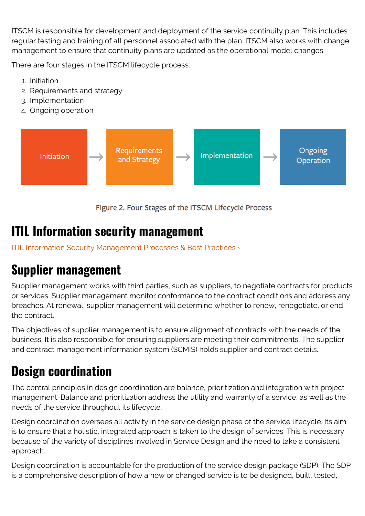ITSCM is responsible for development and deployment of the service continuity plan. This includes regular testing and training of all personnel associated with the plan. ITSCM also works with change management to ensure that continuity plans are updated as the operational model changes.

There are four stages in the ITSCM lifecycle process:

- 1. Initiation
- 2. Requirements and strategy
- 3. Implementation
- 4. Ongoing operation



Figure 2. Four Stages of the ITSCM LIfecycle Process

#### **ITIL Information security management**

ITIL Information Security Management Processes & Best Practices >

## **Supplier management**

Supplier management works with third parties, such as suppliers, to negotiate contracts for products or services. Supplier management monitor conformance to the contract conditions and address any breaches. At renewal, supplier management will determine whether to renew, renegotiate, or end the contract.

The objectives of supplier management is to ensure alignment of contracts with the needs of the business. It is also responsible for ensuring suppliers are meeting their commitments. The supplier and contract management information system (SCMIS) holds supplier and contract details.

## **Design coordination**

The central principles in design coordination are balance, prioritization and integration with project management. Balance and prioritization address the utility and warranty of a service, as well as the needs of the service throughout its lifecycle.

Design coordination oversees all activity in the service design phase of the service lifecycle. Its aim is to ensure that a holistic, integrated approach is taken to the design of services. This is necessary because of the variety of disciplines involved in Service Design and the need to take a consistent approach.

Design coordination is accountable for the production of the service design package (SDP). The SDP is a comprehensive description of how a new or changed service is to be designed, built, tested,